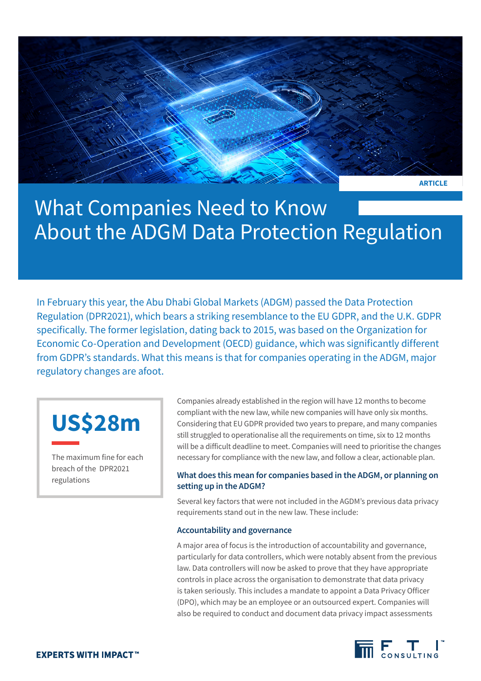

## What Companies Need to Know About the ADGM Data Protection Regulation

In February this year, the Abu Dhabi Global Markets (ADGM) passed the Data Protection Regulation (DPR2021), which bears a striking resemblance to the EU GDPR, and the U.K. GDPR specifically. The former legislation, dating back to 2015, was based on the Organization for Economic Co-Operation and Development (OECD) guidance, which was significantly different from GDPR's standards. What this means is that for companies operating in the ADGM, major regulatory changes are afoot.

# **US\$28m**

The maximum fine for each breach of the DPR2021 regulations

Companies already established in the region will have 12 months to become compliant with the new law, while new companies will have only six months. Considering that EU GDPR provided two years to prepare, and many companies still struggled to operationalise all the requirements on time, six to 12 months will be a difficult deadline to meet. Companies will need to prioritise the changes necessary for compliance with the new law, and follow a clear, actionable plan.

### **What does this mean for companies based in the ADGM, or planning on setting up in the ADGM?**

Several key factors that were not included in the AGDM's previous data privacy requirements stand out in the new law. These include:

#### **Accountability and governance**

A major area of focus is the introduction of accountability and governance, particularly for data controllers, which were notably absent from the previous law. Data controllers will now be asked to prove that they have appropriate controls in place across the organisation to demonstrate that data privacy is taken seriously. This includes a mandate to appoint a Data Privacy Officer (DPO), which may be an employee or an outsourced expert. Companies will also be required to conduct and document data privacy impact assessments

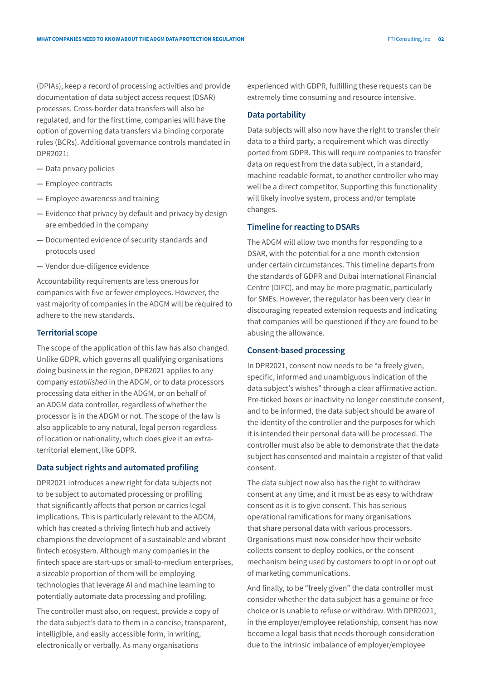(DPIAs), keep a record of processing activities and provide documentation of data subject access request (DSAR) processes. Cross-border data transfers will also be regulated, and for the first time, companies will have the option of governing data transfers via binding corporate rules (BCRs). Additional governance controls mandated in DPR2021:

- **—** Data privacy policies
- **—** Employee contracts
- **—** Employee awareness and training
- **—** Evidence that privacy by default and privacy by design are embedded in the company
- **—** Documented evidence of security standards and protocols used
- **—** Vendor due-diligence evidence

Accountability requirements are less onerous for companies with five or fewer employees. However, the vast majority of companies in the ADGM will be required to adhere to the new standards.

#### **Territorial scope**

The scope of the application of this law has also changed. Unlike GDPR, which governs all qualifying organisations doing business in the region, DPR2021 applies to any company *established* in the ADGM, or to data processors processing data either in the ADGM, or on behalf of an ADGM data controller, regardless of whether the processor is in the ADGM or not. The scope of the law is also applicable to any natural, legal person regardless of location or nationality, which does give it an extraterritorial element, like GDPR.

#### **Data subject rights and automated profiling**

DPR2021 introduces a new right for data subjects not to be subject to automated processing or profiling that significantly affects that person or carries legal implications. This is particularly relevant to the ADGM, which has created a thriving fintech hub and actively champions the development of a sustainable and vibrant fintech ecosystem. Although many companies in the fintech space are start-ups or small-to-medium enterprises, a sizeable proportion of them will be employing technologies that leverage AI and machine learning to potentially automate data processing and profiling.

The controller must also, on request, provide a copy of the data subject's data to them in a concise, transparent, intelligible, and easily accessible form, in writing, electronically or verbally. As many organisations

experienced with GDPR, fulfilling these requests can be extremely time consuming and resource intensive.

#### **Data portability**

Data subjects will also now have the right to transfer their data to a third party, a requirement which was directly ported from GDPR. This will require companies to transfer data on request from the data subject, in a standard, machine readable format, to another controller who may well be a direct competitor. Supporting this functionality will likely involve system, process and/or template changes.

#### **Timeline for reacting to DSARs**

The ADGM will allow two months for responding to a DSAR, with the potential for a one-month extension under certain circumstances. This timeline departs from the standards of GDPR and Dubai International Financial Centre (DIFC), and may be more pragmatic, particularly for SMEs. However, the regulator has been very clear in discouraging repeated extension requests and indicating that companies will be questioned if they are found to be abusing the allowance.

#### **Consent-based processing**

In DPR2021, consent now needs to be "a freely given, specific, informed and unambiguous indication of the data subject's wishes" through a clear affirmative action. Pre-ticked boxes or inactivity no longer constitute consent, and to be informed, the data subject should be aware of the identity of the controller and the purposes for which it is intended their personal data will be processed. The controller must also be able to demonstrate that the data subject has consented and maintain a register of that valid consent.

The data subject now also has the right to withdraw consent at any time, and it must be as easy to withdraw consent as it is to give consent. This has serious operational ramifications for many organisations that share personal data with various processors. Organisations must now consider how their website collects consent to deploy cookies, or the consent mechanism being used by customers to opt in or opt out of marketing communications.

And finally, to be "freely given" the data controller must consider whether the data subject has a genuine or free choice or is unable to refuse or withdraw. With DPR2021, in the employer/employee relationship, consent has now become a legal basis that needs thorough consideration due to the intrinsic imbalance of employer/employee